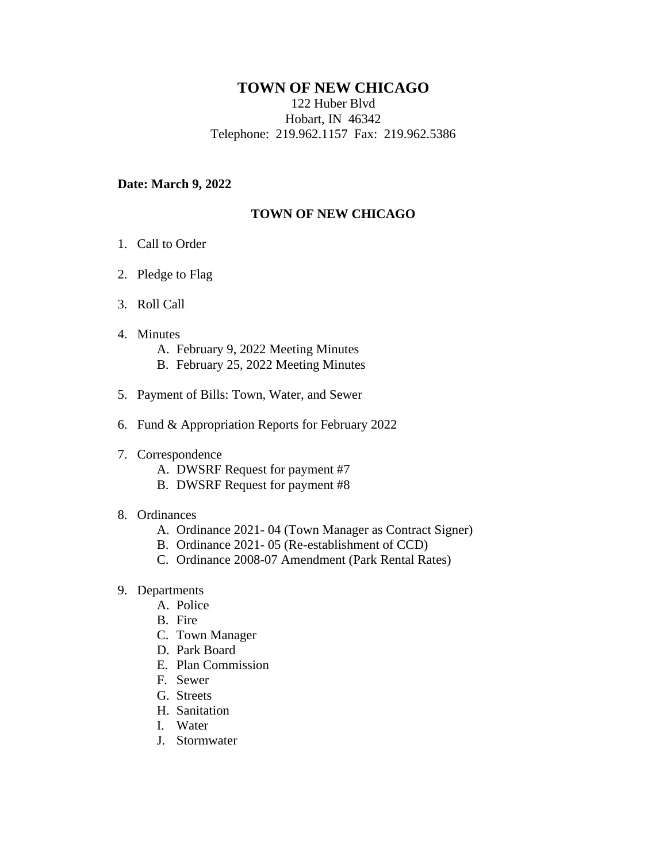# **TOWN OF NEW CHICAGO**

122 Huber Blvd Hobart, IN 46342 Telephone: 219.962.1157 Fax: 219.962.5386

### **Date: March 9, 2022**

## **TOWN OF NEW CHICAGO**

- 1. Call to Order
- 2. Pledge to Flag
- 3. Roll Call
- 4. Minutes

A. February 9, 2022 Meeting Minutes B. February 25, 2022 Meeting Minutes

- 5. Payment of Bills: Town, Water, and Sewer
- 6. Fund & Appropriation Reports for February 2022
- 7. Correspondence
	- A. DWSRF Request for payment #7
	- B. DWSRF Request for payment #8

#### 8. Ordinances

- A. Ordinance 2021- 04 (Town Manager as Contract Signer)
- B. Ordinance 2021- 05 (Re-establishment of CCD)
- C. Ordinance 2008-07 Amendment (Park Rental Rates)
- 9. Departments
	- A. Police
	- B. Fire
	- C. Town Manager
	- D. Park Board
	- E. Plan Commission
	- F. Sewer
	- G. Streets
	- H. Sanitation
	- I. Water
	- J. Stormwater